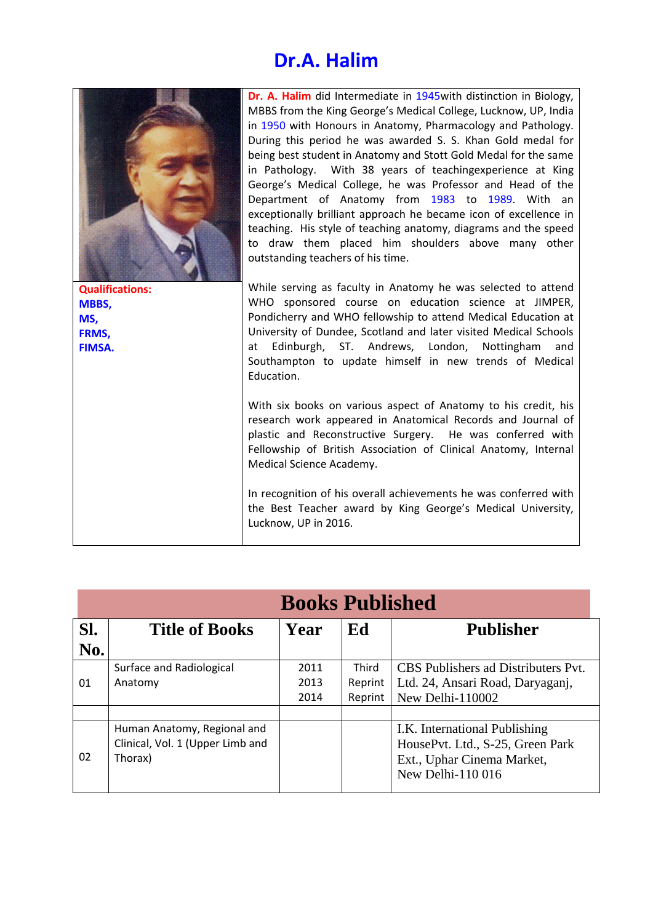## **Dr.A. Halim**

|                        | Dr. A. Halim did Intermediate in 1945 with distinction in Biology,<br>MBBS from the King George's Medical College, Lucknow, UP, India<br>in 1950 with Honours in Anatomy, Pharmacology and Pathology.<br>During this period he was awarded S. S. Khan Gold medal for<br>being best student in Anatomy and Stott Gold Medal for the same<br>in Pathology. With 38 years of teachingexperience at King<br>George's Medical College, he was Professor and Head of the<br>Department of Anatomy from 1983 to 1989. With an<br>exceptionally brilliant approach he became icon of excellence in<br>teaching. His style of teaching anatomy, diagrams and the speed<br>to draw them placed him shoulders above many other<br>outstanding teachers of his time. |
|------------------------|----------------------------------------------------------------------------------------------------------------------------------------------------------------------------------------------------------------------------------------------------------------------------------------------------------------------------------------------------------------------------------------------------------------------------------------------------------------------------------------------------------------------------------------------------------------------------------------------------------------------------------------------------------------------------------------------------------------------------------------------------------|
| <b>Qualifications:</b> | While serving as faculty in Anatomy he was selected to attend                                                                                                                                                                                                                                                                                                                                                                                                                                                                                                                                                                                                                                                                                            |
| MBBS,<br>MS,           | WHO sponsored course on education science at JIMPER,<br>Pondicherry and WHO fellowship to attend Medical Education at                                                                                                                                                                                                                                                                                                                                                                                                                                                                                                                                                                                                                                    |
| FRMS,                  | University of Dundee, Scotland and later visited Medical Schools                                                                                                                                                                                                                                                                                                                                                                                                                                                                                                                                                                                                                                                                                         |
| FIMSA.                 | Edinburgh, ST. Andrews, London, Nottingham<br>and<br>at<br>Southampton to update himself in new trends of Medical<br>Education.                                                                                                                                                                                                                                                                                                                                                                                                                                                                                                                                                                                                                          |
|                        | With six books on various aspect of Anatomy to his credit, his<br>research work appeared in Anatomical Records and Journal of<br>plastic and Reconstructive Surgery. He was conferred with<br>Fellowship of British Association of Clinical Anatomy, Internal<br>Medical Science Academy.                                                                                                                                                                                                                                                                                                                                                                                                                                                                |
|                        | In recognition of his overall achievements he was conferred with<br>the Best Teacher award by King George's Medical University,<br>Lucknow, UP in 2016.                                                                                                                                                                                                                                                                                                                                                                                                                                                                                                                                                                                                  |

|            | <b>Books Published</b>           |      |              |                                     |  |  |
|------------|----------------------------------|------|--------------|-------------------------------------|--|--|
| Sl.<br>No. | <b>Title of Books</b>            | Year | Ed           | <b>Publisher</b>                    |  |  |
|            |                                  |      |              |                                     |  |  |
|            | Surface and Radiological         | 2011 | <b>Third</b> | CBS Publishers ad Distributers Pvt. |  |  |
| 01         | Anatomy                          | 2013 | Reprint      | Ltd. 24, Ansari Road, Daryagani,    |  |  |
|            |                                  | 2014 | Reprint      | New Delhi-110002                    |  |  |
|            |                                  |      |              |                                     |  |  |
|            | Human Anatomy, Regional and      |      |              | I.K. International Publishing       |  |  |
| 02         | Clinical, Vol. 1 (Upper Limb and |      |              | HousePvt. Ltd., S-25, Green Park    |  |  |
|            | Thorax)                          |      |              | Ext., Uphar Cinema Market,          |  |  |
|            |                                  |      |              | New Delhi-110 016                   |  |  |